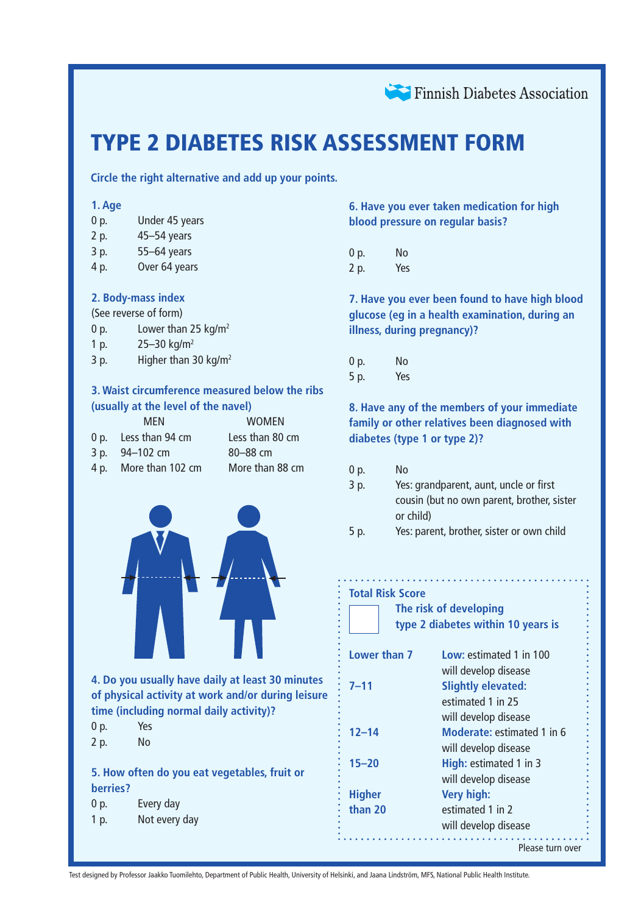

# TYPE 2 DIABETES RISK ASSESSMENT FORM

**Circle the right alternative and add up your points.**

| 1. Age   |                                                                                                                     |                                                                                                        |  |  |  |  |  |  |  |  |  |  |  |  |  |
|----------|---------------------------------------------------------------------------------------------------------------------|--------------------------------------------------------------------------------------------------------|--|--|--|--|--|--|--|--|--|--|--|--|--|
| 0 p.     | Under 45 years                                                                                                      |                                                                                                        |  |  |  |  |  |  |  |  |  |  |  |  |  |
| 2 p.     | 45-54 years                                                                                                         |                                                                                                        |  |  |  |  |  |  |  |  |  |  |  |  |  |
| 3 p.     | 55-64 years                                                                                                         |                                                                                                        |  |  |  |  |  |  |  |  |  |  |  |  |  |
| 4 p.     | Over 64 years                                                                                                       |                                                                                                        |  |  |  |  |  |  |  |  |  |  |  |  |  |
|          |                                                                                                                     |                                                                                                        |  |  |  |  |  |  |  |  |  |  |  |  |  |
|          | 2. Body-mass index                                                                                                  |                                                                                                        |  |  |  |  |  |  |  |  |  |  |  |  |  |
|          | (See reverse of form)                                                                                               |                                                                                                        |  |  |  |  |  |  |  |  |  |  |  |  |  |
| 0 p.     | Lower than 25 kg/m <sup>2</sup>                                                                                     |                                                                                                        |  |  |  |  |  |  |  |  |  |  |  |  |  |
| 1 p.     | 25-30 kg/m <sup>2</sup>                                                                                             |                                                                                                        |  |  |  |  |  |  |  |  |  |  |  |  |  |
| 3 p.     | Higher than 30 kg/m <sup>2</sup>                                                                                    |                                                                                                        |  |  |  |  |  |  |  |  |  |  |  |  |  |
|          | 3. Waist circumference measured below the ribs<br>(usually at the level of the navel)<br><b>MEN</b><br><b>WOMEN</b> |                                                                                                        |  |  |  |  |  |  |  |  |  |  |  |  |  |
| 0 p.     | Less than 94 cm                                                                                                     | Less than 80 cm                                                                                        |  |  |  |  |  |  |  |  |  |  |  |  |  |
| 3 p.     | 94-102 cm                                                                                                           | 80-88 cm                                                                                               |  |  |  |  |  |  |  |  |  |  |  |  |  |
| 4 p.     | More than 102 cm                                                                                                    | More than 88 cm                                                                                        |  |  |  |  |  |  |  |  |  |  |  |  |  |
|          |                                                                                                                     |                                                                                                        |  |  |  |  |  |  |  |  |  |  |  |  |  |
|          | time (including normal daily activity)?                                                                             | 4. Do you usually have daily at least 30 minutes<br>of physical activity at work and/or during leisure |  |  |  |  |  |  |  |  |  |  |  |  |  |
| 0 p.     | Yes                                                                                                                 |                                                                                                        |  |  |  |  |  |  |  |  |  |  |  |  |  |
| 2 p.     | <b>No</b>                                                                                                           |                                                                                                        |  |  |  |  |  |  |  |  |  |  |  |  |  |
| berries? |                                                                                                                     | 5. How often do you eat vegetables, fruit or                                                           |  |  |  |  |  |  |  |  |  |  |  |  |  |
| 0 p.     | Every day                                                                                                           |                                                                                                        |  |  |  |  |  |  |  |  |  |  |  |  |  |
| 1 p.     | Not every day                                                                                                       |                                                                                                        |  |  |  |  |  |  |  |  |  |  |  |  |  |
|          |                                                                                                                     |                                                                                                        |  |  |  |  |  |  |  |  |  |  |  |  |  |

**6. Have you ever taken medication for high blood pressure on regular basis?**

0 p. No 2 p. Yes

**7. Have you ever been found to have high blood glucose (eg in a health examination, during an illness, during pregnancy)?**

| 0 p. | No  |
|------|-----|
| 5 p. | Yes |

**8. Have any of the members of your immediate family or other relatives been diagnosed with diabetes (type 1 or type 2)?**

| 0 <sub>p</sub> | No                                         |
|----------------|--------------------------------------------|
| 3 p.           | Yes: grandparent, aunt, uncle or first     |
|                | cousin (but no own parent, brother, sister |
|                | or child)                                  |

5 p. Yes: parent, brother, sister or own child

#### **Total Risk Score**

|               | The risk of developing<br>type 2 diabetes within 10 years is |
|---------------|--------------------------------------------------------------|
| Lower than 7  | Low: estimated 1 in 100                                      |
|               | will develop disease                                         |
| $7 - 11$      | <b>Slightly elevated:</b>                                    |
|               | estimated 1 in 25                                            |
|               | will develop disease                                         |
| $12 - 14$     | Moderate: estimated 1 in 6                                   |
|               | will develop disease                                         |
| $15 - 20$     | High: estimated 1 in 3                                       |
|               | will develop disease                                         |
| <b>Higher</b> | Very high:                                                   |
| than 20       | estimated 1 in 2                                             |
|               | will develop disease                                         |
|               |                                                              |

Please turn over

Test designed by Professor Jaakko Tuomilehto, Department of Public Health, University of Helsinki, and Jaana Lindström, MFS, National Public Health Institute.